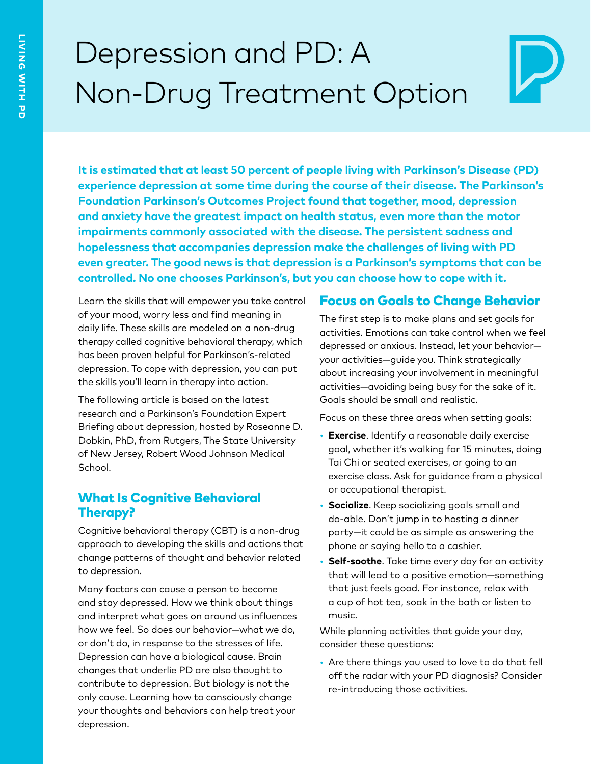# Depression and PD: A Non-Drug Treatment Option

**It is estimated that at least 50 percent of people living with Parkinson's Disease (PD) experience depression at some time during the course of their disease. The Parkinson's Foundation Parkinson's Outcomes Project found that together, mood, depression and anxiety have the greatest impact on health status, even more than the motor impairments commonly associated with the disease. The persistent sadness and hopelessness that accompanies depression make the challenges of living with PD even greater. The good news is that depression is a Parkinson's symptoms that can be controlled. No one chooses Parkinson's, but you can choose how to cope with it.**

Learn the skills that will empower you take control of your mood, worry less and find meaning in daily life. These skills are modeled on a non-drug therapy called cognitive behavioral therapy, which has been proven helpful for Parkinson's-related depression. To cope with depression, you can put the skills you'll learn in therapy into action.

The following article is based on the latest research and a Parkinson's Foundation Expert Briefing about depression, hosted by Roseanne D. Dobkin, PhD, from Rutgers, The State University of New Jersey, Robert Wood Johnson Medical School.

#### What Is Cognitive Behavioral Therapy?

Cognitive behavioral therapy (CBT) is a non-drug approach to developing the skills and actions that change patterns of thought and behavior related to depression.

Many factors can cause a person to become and stay depressed. How we think about things and interpret what goes on around us influences how we feel. So does our behavior—what we do, or don't do, in response to the stresses of life. Depression can have a biological cause. Brain changes that underlie PD are also thought to contribute to depression. But biology is not the only cause. Learning how to consciously change your thoughts and behaviors can help treat your depression.

#### Focus on Goals to Change Behavior

The first step is to make plans and set goals for activities. Emotions can take control when we feel depressed or anxious. Instead, let your behavior your activities—guide you. Think strategically about increasing your involvement in meaningful activities—avoiding being busy for the sake of it. Goals should be small and realistic.

Focus on these three areas when setting goals:

- **Exercise**. Identify a reasonable daily exercise goal, whether it's walking for 15 minutes, doing Tai Chi or seated exercises, or going to an exercise class. Ask for guidance from a physical or occupational therapist.
- **Socialize**. Keep socializing goals small and do-able. Don't jump in to hosting a dinner party—it could be as simple as answering the phone or saying hello to a cashier.
- **Self-soothe**. Take time every day for an activity that will lead to a positive emotion—something that just feels good. For instance, relax with a cup of hot tea, soak in the bath or listen to music.

While planning activities that guide your day, consider these questions:

• Are there things you used to love to do that fell off the radar with your PD diagnosis? Consider re-introducing those activities.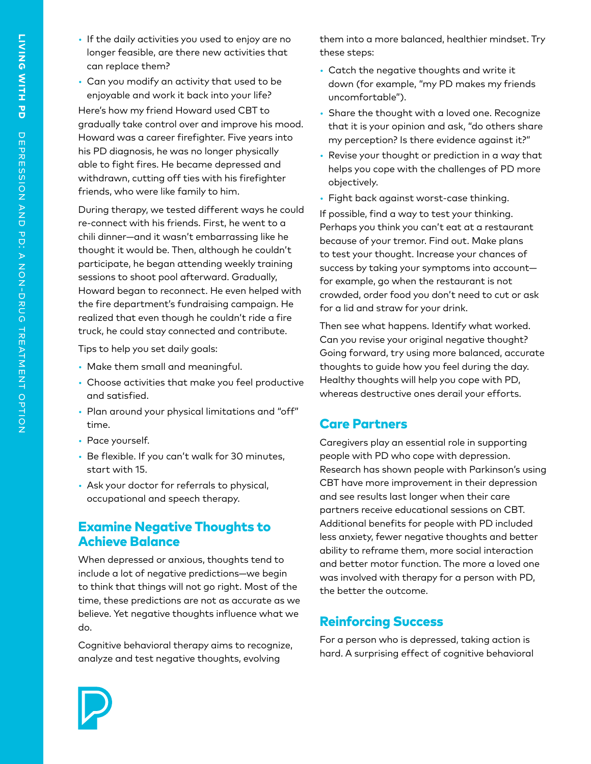- If the daily activities you used to enjoy are no longer feasible, are there new activities that can replace them?
- Can you modify an activity that used to be enjoyable and work it back into your life?

Here's how my friend Howard used CBT to gradually take control over and improve his mood. Howard was a career firefighter. Five years into his PD diagnosis, he was no longer physically able to fight fires. He became depressed and withdrawn, cutting off ties with his firefighter friends, who were like family to him.

During therapy, we tested different ways he could re-connect with his friends. First, he went to a chili dinner—and it wasn't embarrassing like he thought it would be. Then, although he couldn't participate, he began attending weekly training sessions to shoot pool afterward. Gradually, Howard began to reconnect. He even helped with the fire department's fundraising campaign. He realized that even though he couldn't ride a fire truck, he could stay connected and contribute.

Tips to help you set daily goals:

- Make them small and meaningful.
- Choose activities that make you feel productive and satisfied.
- Plan around your physical limitations and "off" time.
- Pace yourself.
- Be flexible. If you can't walk for 30 minutes, start with 15.
- Ask your doctor for referrals to physical, occupational and speech therapy.

#### Examine Negative Thoughts to Achieve Balance

When depressed or anxious, thoughts tend to include a lot of negative predictions—we begin to think that things will not go right. Most of the time, these predictions are not as accurate as we believe. Yet negative thoughts influence what we do.

Cognitive behavioral therapy aims to recognize, analyze and test negative thoughts, evolving

them into a more balanced, healthier mindset. Try these steps:

- Catch the negative thoughts and write it down (for example, "my PD makes my friends uncomfortable").
- Share the thought with a loved one. Recognize that it is your opinion and ask, "do others share my perception? Is there evidence against it?"
- Revise your thought or prediction in a way that helps you cope with the challenges of PD more objectively.
- Fight back against worst-case thinking.

If possible, find a way to test your thinking. Perhaps you think you can't eat at a restaurant because of your tremor. Find out. Make plans to test your thought. Increase your chances of success by taking your symptoms into account for example, go when the restaurant is not crowded, order food you don't need to cut or ask for a lid and straw for your drink.

Then see what happens. Identify what worked. Can you revise your original negative thought? Going forward, try using more balanced, accurate thoughts to guide how you feel during the day. Healthy thoughts will help you cope with PD, whereas destructive ones derail your efforts.

#### Care Partners

Caregivers play an essential role in supporting people with PD who cope with depression. Research has shown people with Parkinson's using CBT have more improvement in their depression and see results last longer when their care partners receive educational sessions on CBT. Additional benefits for people with PD included less anxiety, fewer negative thoughts and better ability to reframe them, more social interaction and better motor function. The more a loved one was involved with therapy for a person with PD, the better the outcome.

## Reinforcing Success

For a person who is depressed, taking action is hard. A surprising effect of cognitive behavioral